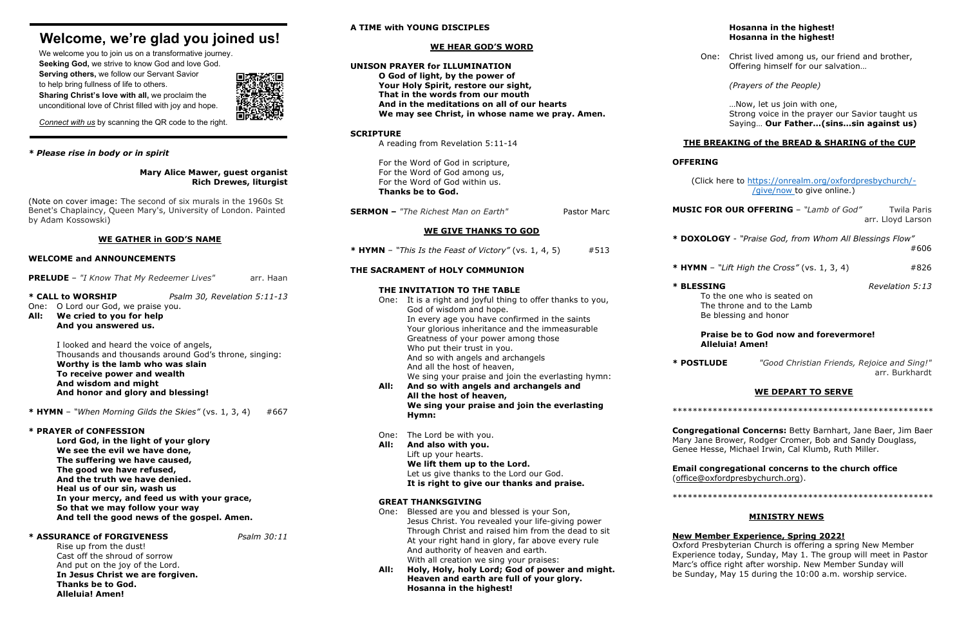# **Welcome, we're glad you joined us!**

We welcome you to join us on a transformative journey. **Seeking God,** we strive to know God and love God. **Serving others,** we follow our Servant Savior to help bring fullness of life to others. **Sharing Christ's love with all,** we proclaim the unconditional love of Christ filled with joy and hope.



*Connect with us* by scanning the QR code to the right.

# *\* Please rise in body or in spirit*

# **Mary Alice Mawer, guest organist Rich Drewes, liturgist**

(Note on cover image: The second of six murals in the 1960s St Benet's Chaplaincy, Queen Mary's, University of London. Painted by Adam Kossowski)

# **WE GATHER in GOD'S NAME**

# **WELCOME and ANNOUNCEMENTS**

**PRELUDE** – "I Know That My Redeemer Lives" arr. Haan

# **\* CALL to WORSHIP** *Psalm 30, Revelation 5:11-13*

One: O Lord our God, we praise you.

**All: We cried to you for help And you answered us.**

> I looked and heard the voice of angels, Thousands and thousands around God's throne, singing: **Worthy is the lamb who was slain To receive power and wealth And wisdom and might And honor and glory and blessing!**

**\* HYMN** – *"When Morning Gilds the Skies"* (vs. 1, 3, 4) #667

# **\* PRAYER of CONFESSION**

**Lord God, in the light of your glory We see the evil we have done, The suffering we have caused, The good we have refused, And the truth we have denied. Heal us of our sin, wash us In your mercy, and feed us with your grace, So that we may follow your way And tell the good news of the gospel. Amen.**

# **\* ASSURANCE of FORGIVENESS** *Psalm 30:11*

Rise up from the dust! Cast off the shroud of sorrow And put on the joy of the Lord. **In Jesus Christ we are forgiven. Thanks be to God. Alleluia! Amen!**

# **A TIME with YOUNG DISCIPLES**

# **WE HEAR GOD'S WORD**

ck here to [https://onrealm.org/oxfordpresbychurch/-](https://onrealm.org/oxfordpresbychurch/-/give/now) [/give/now t](https://onrealm.org/oxfordpresbychurch/-/give/now)o give online.)

**FOR OUR OFFERING** – "Lamb of God" Twila Paris arr. Lloyd Larson

To the one who is seated on The throne and to the Lamb Be blessing and honor

**Congregational Concerns:** Betty Barnhart, Jane Baer, Jim Baer ne Brower, Rodger Cromer, Bob and Sandy Douglass, lesse, Michael Irwin, Cal Klumb, Ruth Miller.

**Congregational concerns to the church office** (oxfordpresbychurch.org).

| <b>UNISON PRAYER for ILLUMINATION</b><br>O God of light, by the power of<br>Your Holy Spirit, restore our sight,<br>That in the words from our mouth<br>And in the meditations on all of our hearts<br>We may see Christ, in whose name we pray. Amen.                                                                                                                                  | C                                                                                                                                              |
|-----------------------------------------------------------------------------------------------------------------------------------------------------------------------------------------------------------------------------------------------------------------------------------------------------------------------------------------------------------------------------------------|------------------------------------------------------------------------------------------------------------------------------------------------|
| <b>SCRIPTURE</b><br>A reading from Revelation 5:11-14                                                                                                                                                                                                                                                                                                                                   | <b>THEI</b>                                                                                                                                    |
| For the Word of God in scripture,                                                                                                                                                                                                                                                                                                                                                       | <b>OFFERI</b>                                                                                                                                  |
| For the Word of God within us.<br><b>Thanks be to God.</b>                                                                                                                                                                                                                                                                                                                              | (Cli                                                                                                                                           |
| <b>SERMON</b> - "The Richest Man on Earth"<br><b>Pastor Marc</b>                                                                                                                                                                                                                                                                                                                        | <b>MUSIC</b>                                                                                                                                   |
| <b>WE GIVE THANKS TO GOD</b>                                                                                                                                                                                                                                                                                                                                                            | * DOXO                                                                                                                                         |
| * HYMN - "This Is the Feast of Victory" (vs. 1, 4, 5)<br>#513                                                                                                                                                                                                                                                                                                                           |                                                                                                                                                |
| THE SACRAMENT of HOLY COMMUNION                                                                                                                                                                                                                                                                                                                                                         | * HYMN                                                                                                                                         |
| THE INVITATION TO THE TABLE<br>It is a right and joyful thing to offer thanks to you,<br>One:<br>God of wisdom and hope.<br>In every age you have confirmed in the saints<br>Your glorious inheritance and the immeasurable<br>Greatness of your power among those<br>Who put their trust in you.<br>And so with angels and archangels<br>And all the host of heaven,                   | * BLESS<br>$\mathbf{I}$<br>Т<br>B<br>P<br>A<br>* POSTI                                                                                         |
| And so with angels and archangels and<br>All the host of heaven,<br>We sing your praise and join the everlasting<br>Hymn:                                                                                                                                                                                                                                                               | *******                                                                                                                                        |
| One:<br>The Lord be with you.<br>And also with you.<br>Lift up your hearts.                                                                                                                                                                                                                                                                                                             | Congre<br>Mary Jar<br>Genee H                                                                                                                  |
| Let us give thanks to the Lord our God.<br>It is right to give our thanks and praise.                                                                                                                                                                                                                                                                                                   | Email c<br>(office@                                                                                                                            |
| <b>GREAT THANKSGIVING</b>                                                                                                                                                                                                                                                                                                                                                               | *******                                                                                                                                        |
| Blessed are you and blessed is your Son,<br>Jesus Christ. You revealed your life-giving power<br>Through Christ and raised him from the dead to sit<br>At your right hand in glory, far above every rule<br>And authority of heaven and earth.<br>With all creation we sing your praises:<br>Holy, Holy, holy Lord; God of power and might.<br>Heaven and earth are full of your glory. | <b>New Me</b><br>Oxford F<br>Experier<br>Marc's o<br>be Sund                                                                                   |
|                                                                                                                                                                                                                                                                                                                                                                                         | For the Word of God among us,<br>We sing your praise and join the everlasting hymn:<br>We lift them up to the Lord.<br>Hosanna in the highest! |

# **Hosanna in the highest! Hosanna in the highest!**

One: Christ lived among us, our friend and brother, Offering himself for our salvation…

*(Prayers of the People)*

…Now, let us join with one, Strong voice in the prayer our Savior taught us Saying… **Our Father…(sins…sin against us)**

# **BREAKING of the BREAD & SHARING of the CUP**

# **OFFERING**

**\* DOXOLOGY** - *"Praise God, from Whom All Blessings Flow"* #606

**N** – "Lift High the Cross" (vs. 1, 3, 4)  $\#826$ 

# **Praise be to God now and forevermore! Alleluia! Amen!**

**\* POSTLUDE** *"Good Christian Friends, Rejoice and Sing!"* arr. Burkhardt

# **WE DEPART TO SERVE**

\*\*\*\*\*\*\*\*\*\*\*\*\*\*\*\*\*\*\*\*\*\*\*\*\*\*\*\*\*\*\*\*\*\*\*\*\*\*\*\*\*\*\*\*\*\*\*\*\*\*\*\*

\*\*\*\*\*\*\*\*\*\*\*\*\*\*\*\*\*\*\*\*\*\*\*\*\*\*\*\*\*\*\*\*\*\*\*\*\*\*\*\*\*\*\*\*\*\*\*\*\*\*\*\*

# **MINISTRY NEWS**

# **<u>Experience, Spring 2022!</u>**

Presbyterian Church is offering a spring New Member nce today, Sunday, May 1. The group will meet in Pastor office right after worship. New Member Sunday will lay, May 15 during the 10:00 a.m. worship service.

**SING** *Revelation* 5:13